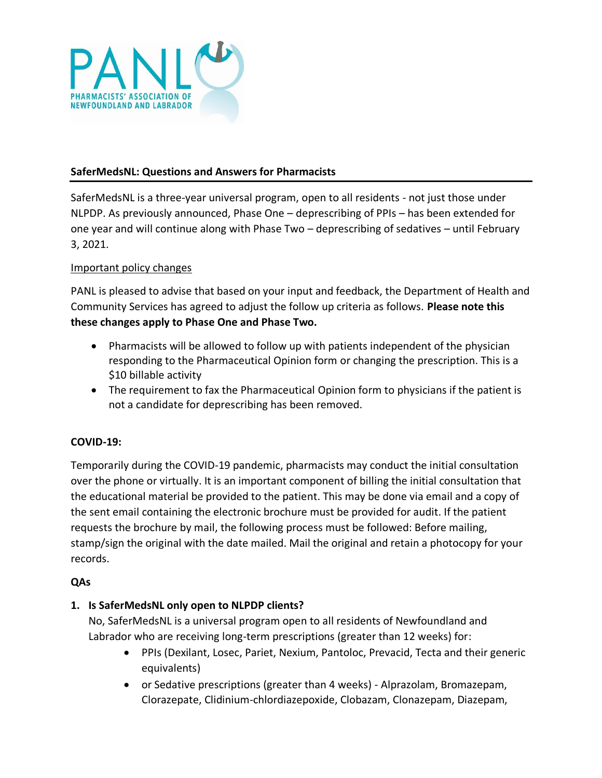

### **SaferMedsNL: Questions and Answers for Pharmacists**

SaferMedsNL is a three-year universal program, open to all residents - not just those under NLPDP. As previously announced, Phase One – deprescribing of PPIs – has been extended for one year and will continue along with Phase Two – deprescribing of sedatives – until February 3, 2021.

#### Important policy changes

PANL is pleased to advise that based on your input and feedback, the Department of Health and Community Services has agreed to adjust the follow up criteria as follows. **Please note this these changes apply to Phase One and Phase Two.** 

- Pharmacists will be allowed to follow up with patients independent of the physician responding to the Pharmaceutical Opinion form or changing the prescription. This is a \$10 billable activity
- The requirement to fax the Pharmaceutical Opinion form to physicians if the patient is not a candidate for deprescribing has been removed.

#### **COVID-19:**

Temporarily during the COVID-19 pandemic, pharmacists may conduct the initial consultation over the phone or virtually. It is an important component of billing the initial consultation that the educational material be provided to the patient. This may be done via email and a copy of the sent email containing the electronic brochure must be provided for audit. If the patient requests the brochure by mail, the following process must be followed: Before mailing, stamp/sign the original with the date mailed. Mail the original and retain a photocopy for your records.

#### **QAs**

## **1. Is SaferMedsNL only open to NLPDP clients?**

No, SaferMedsNL is a universal program open to all residents of Newfoundland and Labrador who are receiving long-term prescriptions (greater than 12 weeks) for:

- PPIs (Dexilant, Losec, Pariet, Nexium, Pantoloc, Prevacid, Tecta and their generic equivalents)
- or Sedative prescriptions (greater than 4 weeks) Alprazolam, Bromazepam, Clorazepate, Clidinium-chlordiazepoxide, Clobazam, Clonazepam, Diazepam,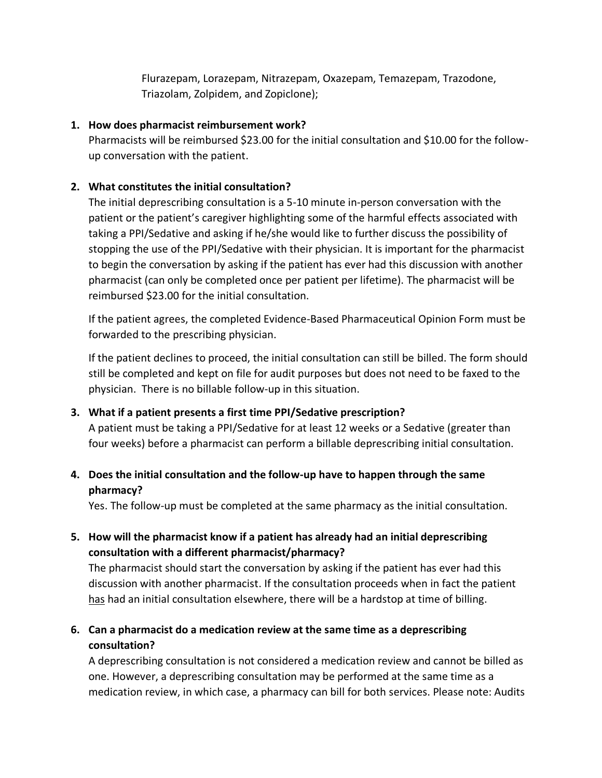Flurazepam, Lorazepam, Nitrazepam, Oxazepam, Temazepam, Trazodone, Triazolam, Zolpidem, and Zopiclone);

### **1. How does pharmacist reimbursement work?**

Pharmacists will be reimbursed \$23.00 for the initial consultation and \$10.00 for the followup conversation with the patient.

## **2. What constitutes the initial consultation?**

The initial deprescribing consultation is a 5-10 minute in-person conversation with the patient or the patient's caregiver highlighting some of the harmful effects associated with taking a PPI/Sedative and asking if he/she would like to further discuss the possibility of stopping the use of the PPI/Sedative with their physician. It is important for the pharmacist to begin the conversation by asking if the patient has ever had this discussion with another pharmacist (can only be completed once per patient per lifetime). The pharmacist will be reimbursed \$23.00 for the initial consultation.

If the patient agrees, the completed Evidence-Based Pharmaceutical Opinion Form must be forwarded to the prescribing physician.

If the patient declines to proceed, the initial consultation can still be billed. The form should still be completed and kept on file for audit purposes but does not need to be faxed to the physician. There is no billable follow-up in this situation.

## **3. What if a patient presents a first time PPI/Sedative prescription?**

A patient must be taking a PPI/Sedative for at least 12 weeks or a Sedative (greater than four weeks) before a pharmacist can perform a billable deprescribing initial consultation.

# **4. Does the initial consultation and the follow-up have to happen through the same pharmacy?**

Yes. The follow-up must be completed at the same pharmacy as the initial consultation.

**5. How will the pharmacist know if a patient has already had an initial deprescribing consultation with a different pharmacist/pharmacy?**

The pharmacist should start the conversation by asking if the patient has ever had this discussion with another pharmacist. If the consultation proceeds when in fact the patient has had an initial consultation elsewhere, there will be a hardstop at time of billing.

# **6. Can a pharmacist do a medication review at the same time as a deprescribing consultation?**

A deprescribing consultation is not considered a medication review and cannot be billed as one. However, a deprescribing consultation may be performed at the same time as a medication review, in which case, a pharmacy can bill for both services. Please note: Audits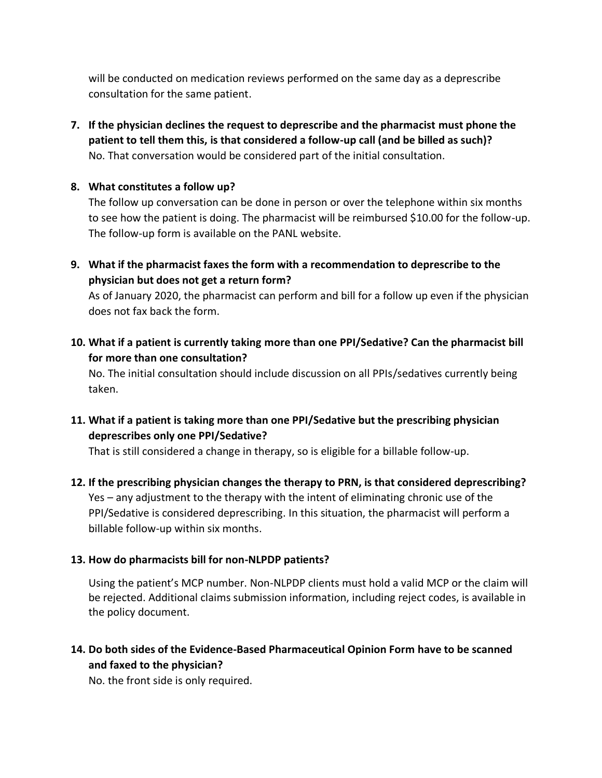will be conducted on medication reviews performed on the same day as a deprescribe consultation for the same patient.

**7. If the physician declines the request to deprescribe and the pharmacist must phone the patient to tell them this, is that considered a follow-up call (and be billed as such)?** No. That conversation would be considered part of the initial consultation.

## **8. What constitutes a follow up?**

The follow up conversation can be done in person or over the telephone within six months to see how the patient is doing. The pharmacist will be reimbursed \$10.00 for the follow-up. The follow-up form is available on the PANL website.

**9. What if the pharmacist faxes the form with a recommendation to deprescribe to the physician but does not get a return form?**

As of January 2020, the pharmacist can perform and bill for a follow up even if the physician does not fax back the form.

**10. What if a patient is currently taking more than one PPI/Sedative? Can the pharmacist bill for more than one consultation?**

No. The initial consultation should include discussion on all PPIs/sedatives currently being taken.

**11. What if a patient is taking more than one PPI/Sedative but the prescribing physician deprescribes only one PPI/Sedative?**

That is still considered a change in therapy, so is eligible for a billable follow-up.

**12. If the prescribing physician changes the therapy to PRN, is that considered deprescribing?** Yes – any adjustment to the therapy with the intent of eliminating chronic use of the PPI/Sedative is considered deprescribing. In this situation, the pharmacist will perform a billable follow-up within six months.

# **13. How do pharmacists bill for non-NLPDP patients?**

Using the patient's MCP number. Non-NLPDP clients must hold a valid MCP or the claim will be rejected. Additional claims submission information, including reject codes, is available in the policy document.

**14. Do both sides of the Evidence-Based Pharmaceutical Opinion Form have to be scanned and faxed to the physician?**

No. the front side is only required.